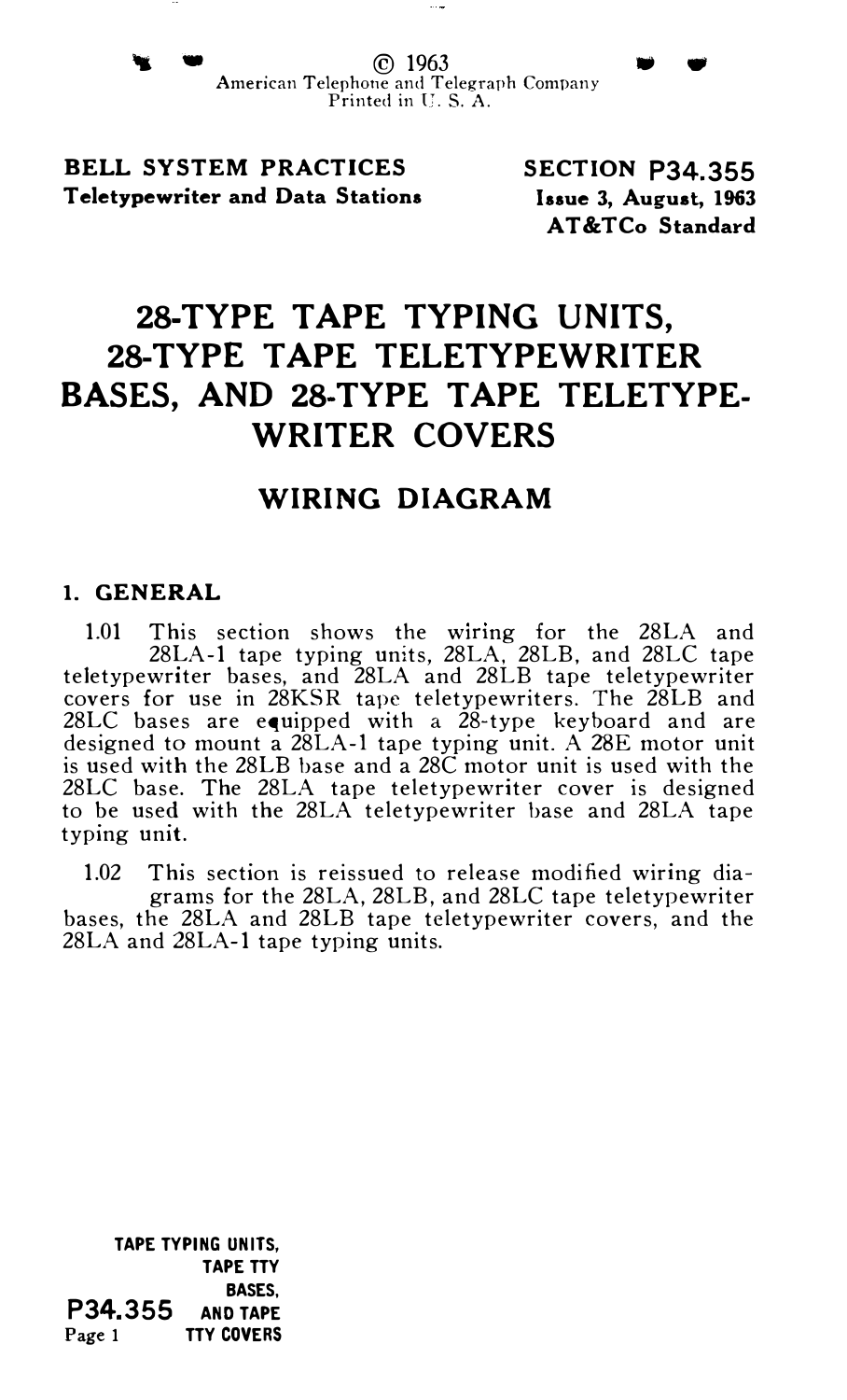BELL SYSTEM PRACTICES Teletypewriter and Data Stations SECTION P34.355 Issue 3, August, 1963 AT&TCo Standard

# 28-TYPE TAPE TYPING UNITS, 28-TYPE TAPE TELETYPEWRITER BASES, AND 28-TYPE TAPE TELETYPE-WRITER COVERS

## WIRING DIAGRAM

#### 1. GENERAL

1.01 This section shows the wiring for the 28LA and 28LA-1 tape typing units, 28LA, 28LB, and 28LC tape teletypewriter bases, and 28LA and 28LB tape teletypewriter covers for use in 28KSR tape teletypewriters. The 28LB and 28LC bases are equipped with a 28-type keyboard and are designed to mount a 28LA-l tape typing unit. A 28E motor unit is used with the 28LB base and a 28C motor unit is used with the 28LC base. The 28LA tape teletypewriter cover is designed to be used with the 28LA teletypewriter base and 28LA tape typing unit.

1.02 This section is reissued to release modified wiring diagrams for the 28LA, 28LB, and 28LC tape teletypewriter

bases, the 28LA and 28LB tape teletypewriter covers, and the 28LA and 28LA-1 tape typing units.

TAPE TYPING UNITS, TAPE TTY BASES, P34.355 AND TAPE Page 1 TTY COVERS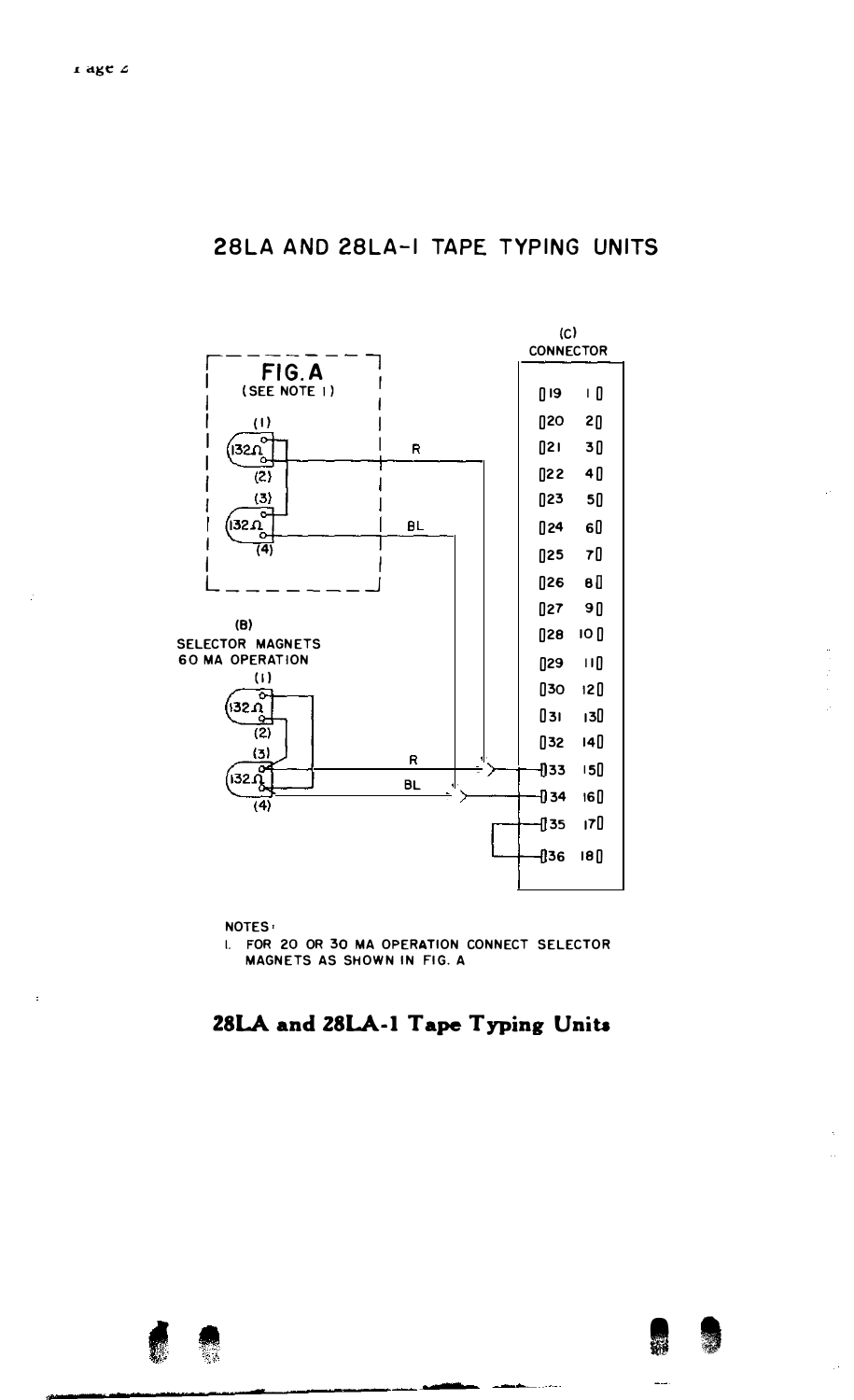

I. FOR 20 OR 30 MA OPERATION CONNECT SELECTOR MAGNETS AS SHOWN IN FIG. A

### 28LA and 28LA-1 Tape Typing Units



 $\hat{a}$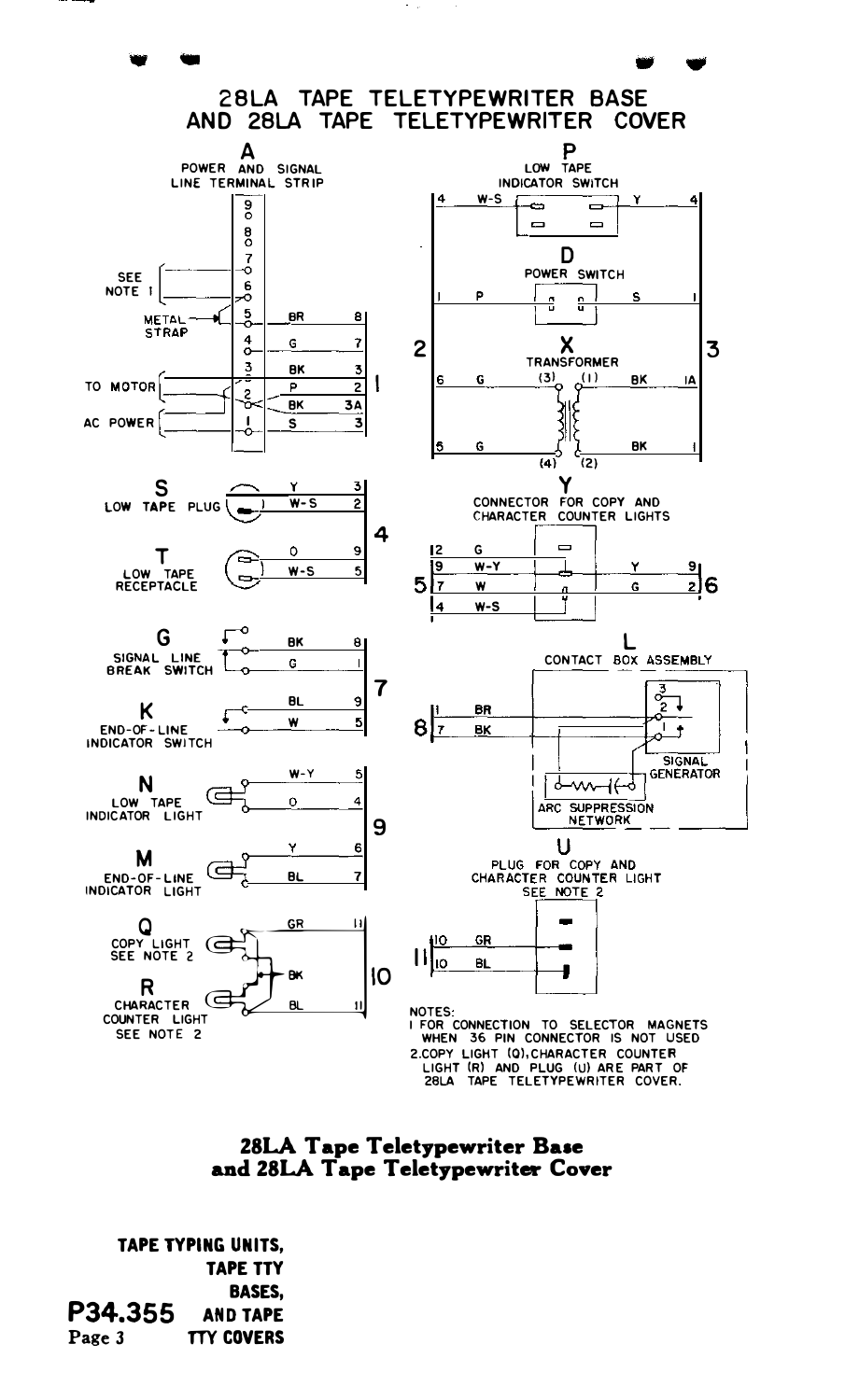



TAPE TYPING UNITS, TAPE TTY BASES, P34.355 AND TAPE Page 3 TTY COVERS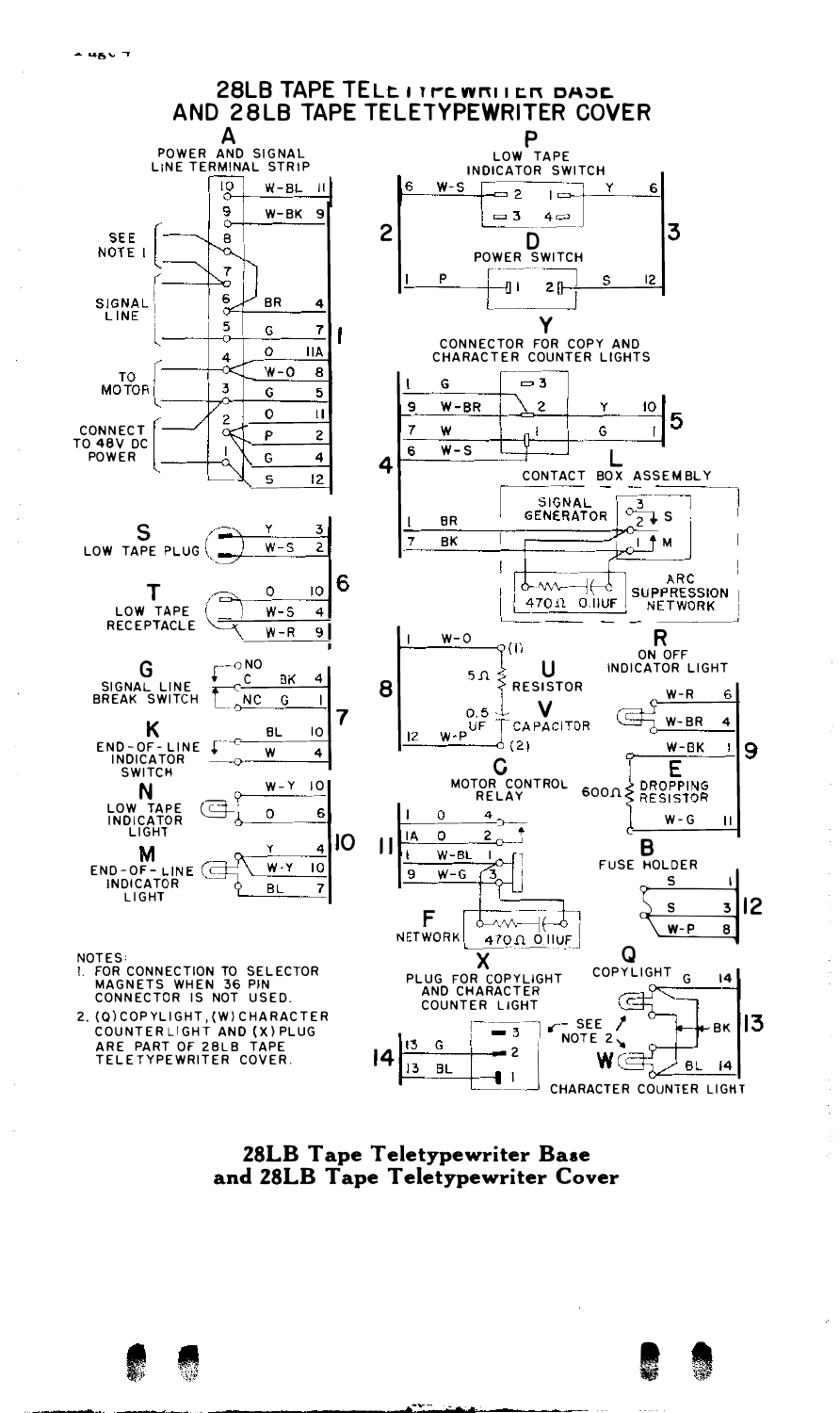

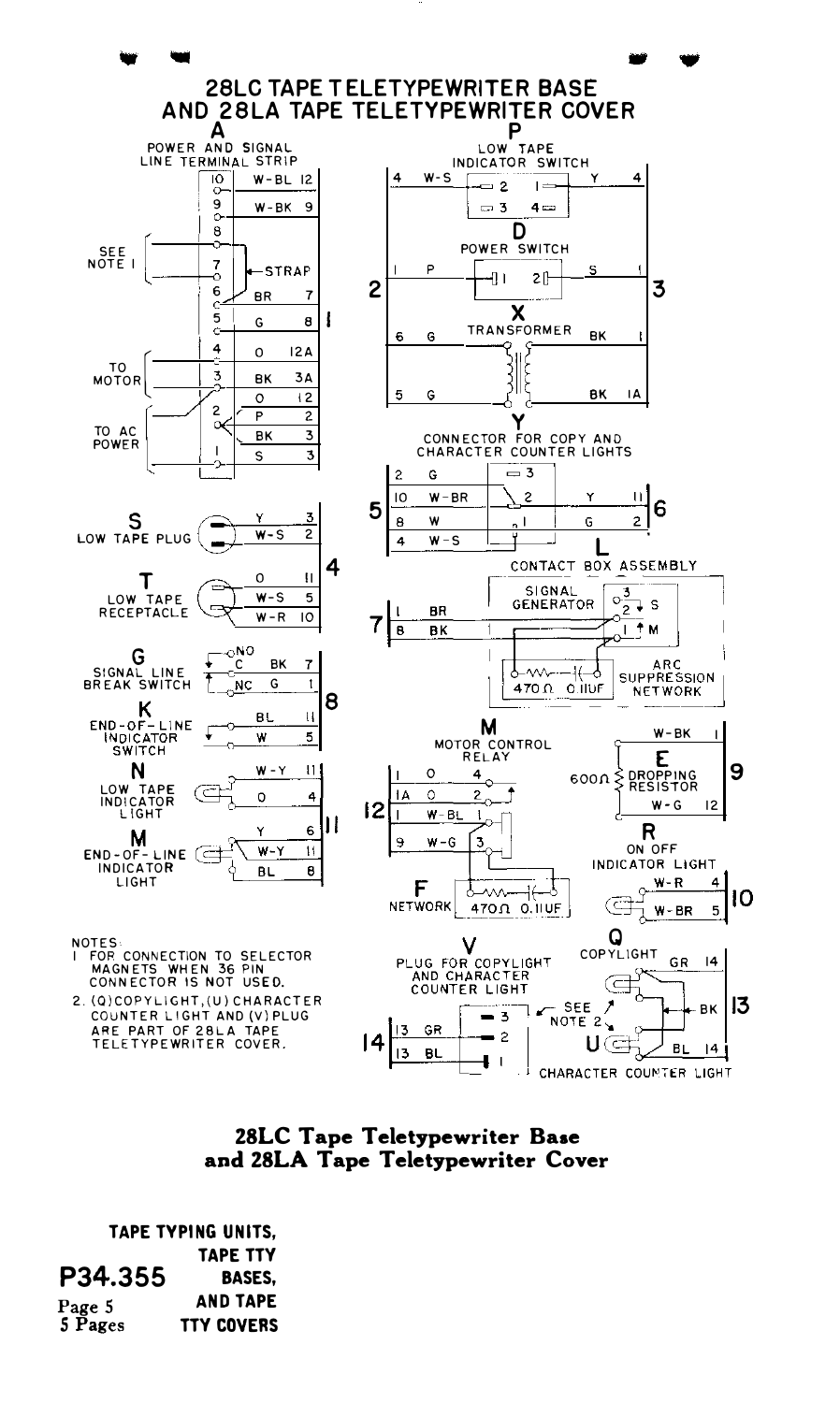

#### ZSLC Tape Teletypewriter Base and ZSLA Tape Teletypewriter Cover

TAPE TYPING UNITS, TAPE TTY P34.355 Page 5 5 Pages BASES, AND TAPE TTY COVERS